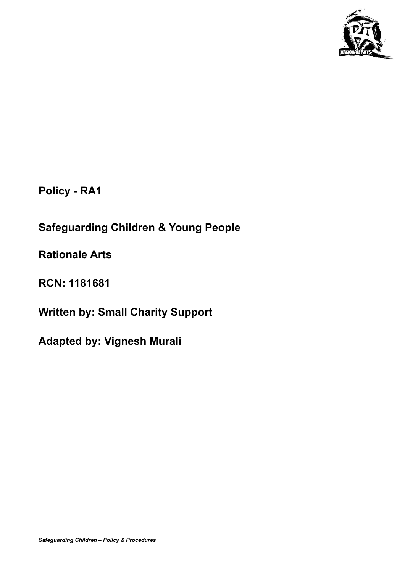

**Policy - RA1**

# **Safeguarding Children & Young People**

**Rationale Arts**

**RCN: 1181681**

**Written by: Small Charity Support**

**Adapted by: Vignesh Murali**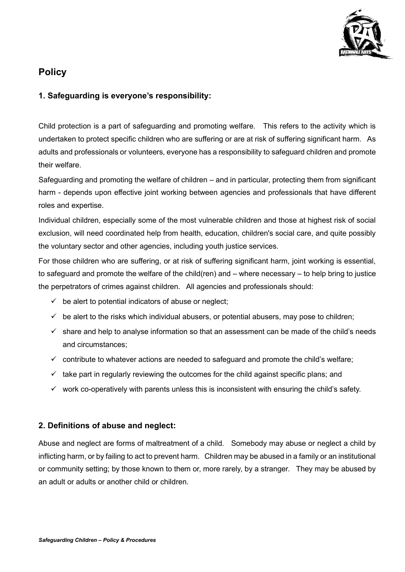

## **Policy**

## **1. Safeguarding is everyone's responsibility:**

Child protection is a part of safeguarding and promoting welfare. This refers to the activity which is undertaken to protect specific children who are suffering or are at risk of suffering significant harm. As adults and professionals or volunteers, everyone has a responsibility to safeguard children and promote their welfare.

Safeguarding and promoting the welfare of children – and in particular, protecting them from significant harm - depends upon effective joint working between agencies and professionals that have different roles and expertise.

Individual children, especially some of the most vulnerable children and those at highest risk of social exclusion, will need coordinated help from health, education, children's social care, and quite possibly the voluntary sector and other agencies, including youth justice services.

For those children who are suffering, or at risk of suffering significant harm, joint working is essential, to safeguard and promote the welfare of the child(ren) and – where necessary – to help bring to justice the perpetrators of crimes against children. All agencies and professionals should:

- $\checkmark$  be alert to potential indicators of abuse or neglect:
- $\checkmark$  be alert to the risks which individual abusers, or potential abusers, may pose to children;
- $\checkmark$  share and help to analyse information so that an assessment can be made of the child's needs and circumstances;
- $\checkmark$  contribute to whatever actions are needed to safeguard and promote the child's welfare;
- $\checkmark$  take part in regularly reviewing the outcomes for the child against specific plans; and
- $\checkmark$  work co-operatively with parents unless this is inconsistent with ensuring the child's safety.

#### **2. Definitions of abuse and neglect:**

Abuse and neglect are forms of maltreatment of a child. Somebody may abuse or neglect a child by inflicting harm, or by failing to act to prevent harm. Children may be abused in a family or an institutional or community setting; by those known to them or, more rarely, by a stranger. They may be abused by an adult or adults or another child or children.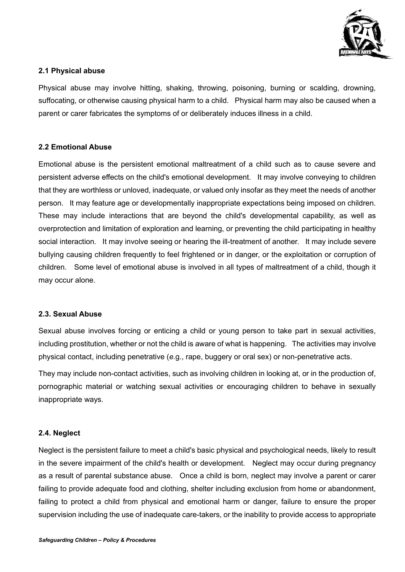

#### **2.1 Physical abuse**

Physical abuse may involve hitting, shaking, throwing, poisoning, burning or scalding, drowning, suffocating, or otherwise causing physical harm to a child. Physical harm may also be caused when a parent or carer fabricates the symptoms of or deliberately induces illness in a child.

#### **2.2 Emotional Abuse**

Emotional abuse is the persistent emotional maltreatment of a child such as to cause severe and persistent adverse effects on the child's emotional development. It may involve conveying to children that they are worthless or unloved, inadequate, or valued only insofar as they meet the needs of another person. It may feature age or developmentally inappropriate expectations being imposed on children. These may include interactions that are beyond the child's developmental capability, as well as overprotection and limitation of exploration and learning, or preventing the child participating in healthy social interaction. It may involve seeing or hearing the ill-treatment of another. It may include severe bullying causing children frequently to feel frightened or in danger, or the exploitation or corruption of children. Some level of emotional abuse is involved in all types of maltreatment of a child, though it may occur alone.

#### **2.3. Sexual Abuse**

Sexual abuse involves forcing or enticing a child or young person to take part in sexual activities, including prostitution, whether or not the child is aware of what is happening. The activities may involve physical contact, including penetrative (*e*.g., rape, buggery or oral sex) or non-penetrative acts.

They may include non-contact activities, such as involving children in looking at, or in the production of, pornographic material or watching sexual activities or encouraging children to behave in sexually inappropriate ways.

#### **2.4. Neglect**

Neglect is the persistent failure to meet a child's basic physical and psychological needs, likely to result in the severe impairment of the child's health or development. Neglect may occur during pregnancy as a result of parental substance abuse. Once a child is born, neglect may involve a parent or carer failing to provide adequate food and clothing, shelter including exclusion from home or abandonment, failing to protect a child from physical and emotional harm or danger, failure to ensure the proper supervision including the use of inadequate care-takers, or the inability to provide access to appropriate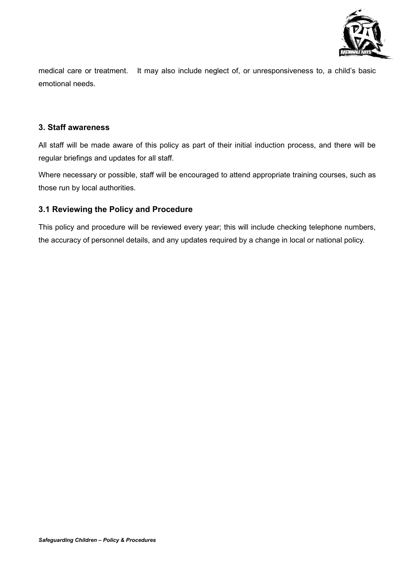

medical care or treatment. It may also include neglect of, or unresponsiveness to, a child's basic emotional needs.

## **3. Staff awareness**

All staff will be made aware of this policy as part of their initial induction process, and there will be regular briefings and updates for all staff.

Where necessary or possible, staff will be encouraged to attend appropriate training courses, such as those run by local authorities.

### **3.1 Reviewing the Policy and Procedure**

This policy and procedure will be reviewed every year; this will include checking telephone numbers, the accuracy of personnel details, and any updates required by a change in local or national policy.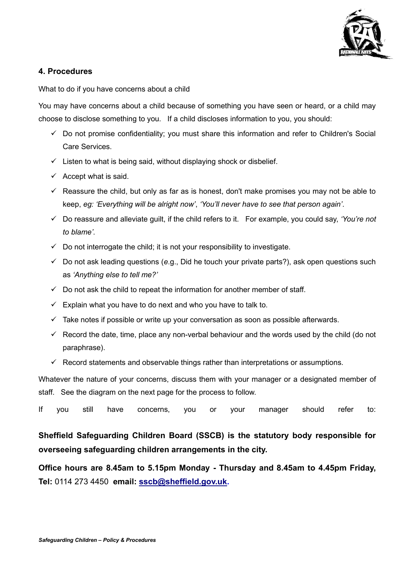

## **4. Procedures**

What to do if you have concerns about a child

You may have concerns about a child because of something you have seen or heard, or a child may choose to disclose something to you. If a child discloses information to you, you should:

- $\checkmark$  Do not promise confidentiality; you must share this information and refer to Children's Social Care Services.
- $\checkmark$  Listen to what is being said, without displaying shock or disbelief.
- $\checkmark$  Accept what is said.
- $\checkmark$  Reassure the child, but only as far as is honest, don't make promises you may not be able to keep, *eg: 'Everything will be alright now'*, *'You'll never have to see that person again'*.
- ✓ Do reassure and alleviate guilt, if the child refers to it. For example, you could say, *'You're not to blame'*.
- $\checkmark$  Do not interrogate the child; it is not your responsibility to investigate.
- ✓ Do not ask leading questions (*e*.g., Did he touch your private parts?), ask open questions such as *'Anything else to tell me?'*
- $\checkmark$  Do not ask the child to repeat the information for another member of staff.
- $\checkmark$  Explain what you have to do next and who you have to talk to.
- $\checkmark$  Take notes if possible or write up your conversation as soon as possible afterwards.
- $\checkmark$  Record the date, time, place any non-verbal behaviour and the words used by the child (do not paraphrase).
- $\checkmark$  Record statements and observable things rather than interpretations or assumptions.

Whatever the nature of your concerns, discuss them with your manager or a designated member of staff. See the diagram on the next page for the process to follow.

If you still have concerns, you or your manager should refer to:

**Sheffield Safeguarding Children Board (SSCB) is the statutory body responsible for overseeing safeguarding children arrangements in the city.**

**Office hours are 8.45am to 5.15pm Monday - Thursday and 8.45am to 4.45pm Friday, Tel:** 0114 273 4450 **email: [sscb@sheffield.gov.uk.](mailto:sscb@sheffield.gov.uk)**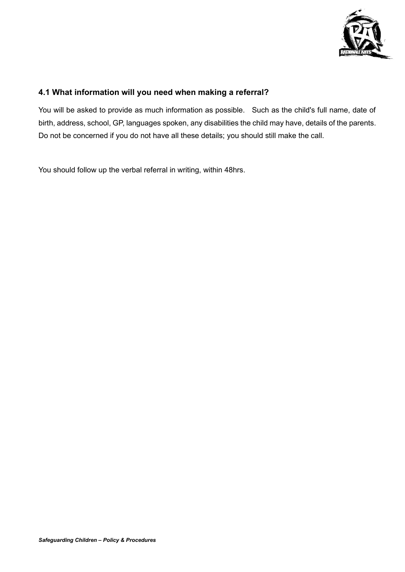

## **4.1 What information will you need when making a referral?**

You will be asked to provide as much information as possible. Such as the child's full name, date of birth, address, school, GP, languages spoken, any disabilities the child may have, details of the parents. Do not be concerned if you do not have all these details; you should still make the call.

You should follow up the verbal referral in writing, within 48hrs.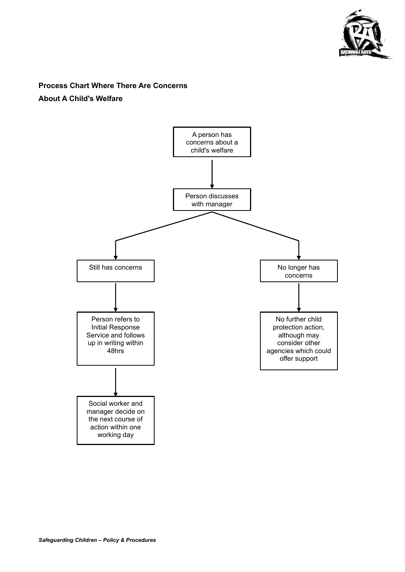

## **Process Chart Where There Are Concerns About A Child's Welfare**

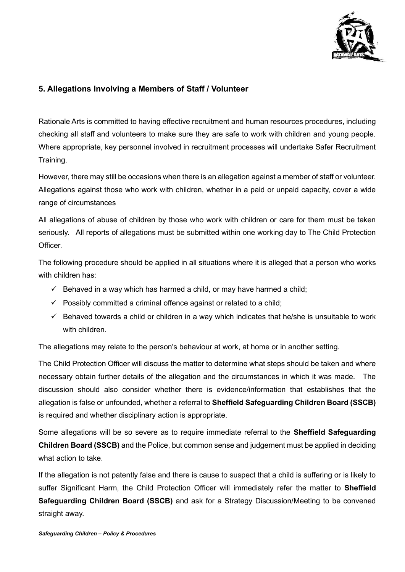

### **5. Allegations Involving a Members of Staff / Volunteer**

Rationale Arts is committed to having effective recruitment and human resources procedures, including checking all staff and volunteers to make sure they are safe to work with children and young people. Where appropriate, key personnel involved in recruitment processes will undertake Safer Recruitment Training.

However, there may still be occasions when there is an allegation against a member of staff or volunteer. Allegations against those who work with children, whether in a paid or unpaid capacity, cover a wide range of circumstances

All allegations of abuse of children by those who work with children or care for them must be taken seriously. All reports of allegations must be submitted within one working day to The Child Protection Officer.

The following procedure should be applied in all situations where it is alleged that a person who works with children has:

- $\checkmark$  Behaved in a way which has harmed a child, or may have harmed a child;
- $\checkmark$  Possibly committed a criminal offence against or related to a child;
- $\checkmark$  Behaved towards a child or children in a way which indicates that he/she is unsuitable to work with children.

The allegations may relate to the person's behaviour at work, at home or in another setting.

The Child Protection Officer will discuss the matter to determine what steps should be taken and where necessary obtain further details of the allegation and the circumstances in which it was made. The discussion should also consider whether there is evidence/information that establishes that the allegation is false or unfounded, whether a referral to **Sheffield Safeguarding Children Board (SSCB)**  is required and whether disciplinary action is appropriate.

Some allegations will be so severe as to require immediate referral to the **Sheffield Safeguarding Children Board (SSCB)** and the Police, but common sense and judgement must be applied in deciding what action to take.

If the allegation is not patently false and there is cause to suspect that a child is suffering or is likely to suffer Significant Harm, the Child Protection Officer will immediately refer the matter to **Sheffield Safeguarding Children Board (SSCB)** and ask for a Strategy Discussion/Meeting to be convened straight away.